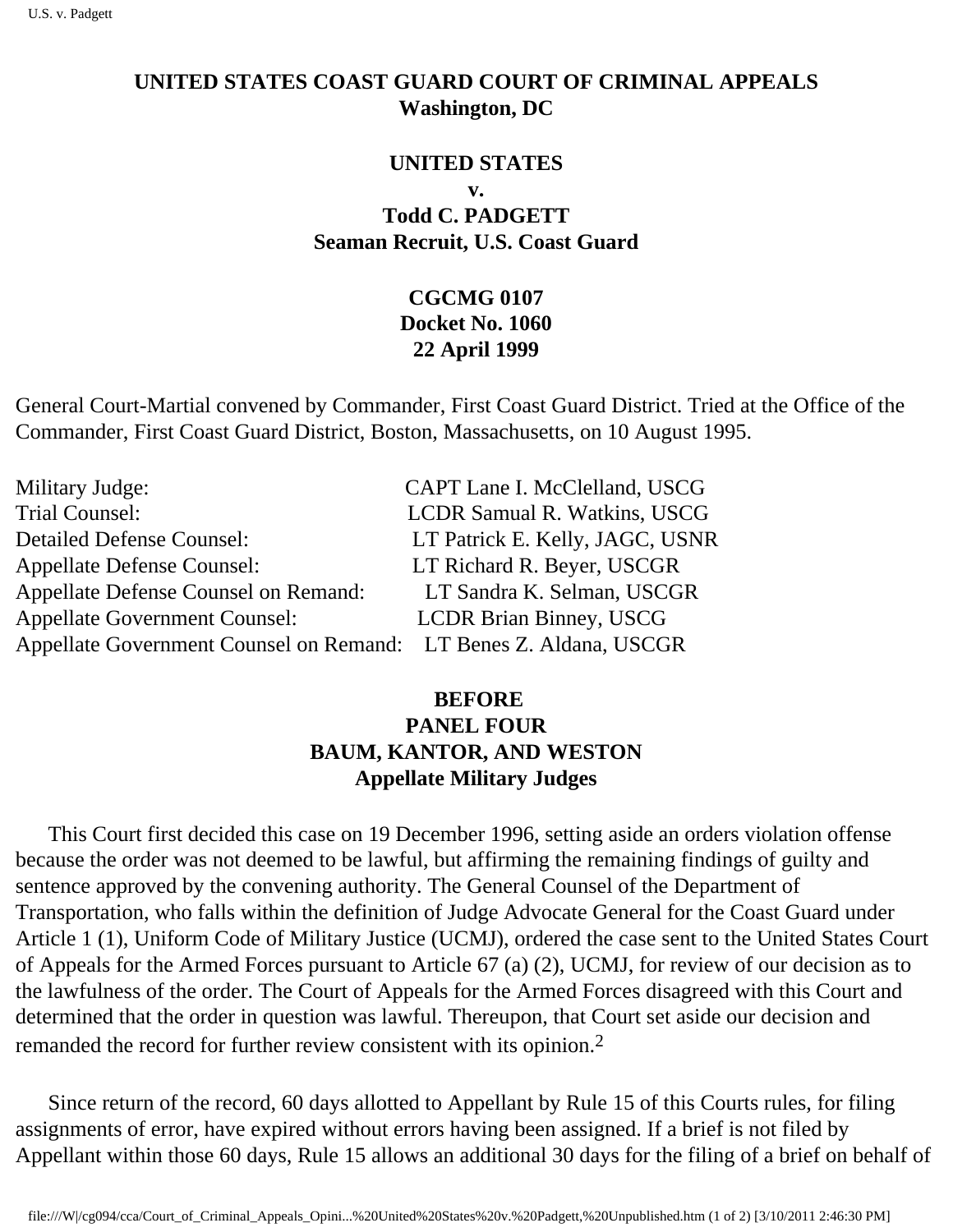## **UNITED STATES COAST GUARD COURT OF CRIMINAL APPEALS Washington, DC**

## **UNITED STATES**

**v.** 

**Todd C. PADGETT Seaman Recruit, U.S. Coast Guard**

## **CGCMG 0107 Docket No. 1060 22 April 1999**

General Court-Martial convened by Commander, First Coast Guard District. Tried at the Office of the Commander, First Coast Guard District, Boston, Massachusetts, on 10 August 1995.

| Military Judge:                                                   | CAPT Lane I. McClelland, USCG   |
|-------------------------------------------------------------------|---------------------------------|
| <b>Trial Counsel:</b>                                             | LCDR Samual R. Watkins, USCG    |
| <b>Detailed Defense Counsel:</b>                                  | LT Patrick E. Kelly, JAGC, USNR |
| <b>Appellate Defense Counsel:</b>                                 | LT Richard R. Beyer, USCGR      |
| <b>Appellate Defense Counsel on Remand:</b>                       | LT Sandra K. Selman, USCGR      |
| <b>Appellate Government Counsel:</b>                              | <b>LCDR Brian Binney, USCG</b>  |
| Appellate Government Counsel on Remand: LT Benes Z. Aldana, USCGR |                                 |

## **BEFORE PANEL FOUR BAUM, KANTOR, AND WESTON Appellate Military Judges**

 This Court first decided this case on 19 December 1996, setting aside an orders violation offense because the order was not deemed to be lawful, but affirming the remaining findings of guilty and sentence approved by the convening authority. The General Counsel of the Department of Transportation, who falls within the definition of Judge Advocate General for the Coast Guard under Article 1 (1), Uniform Code of Military Justice (UCMJ), ordered the case sent to the United States Court of Appeals for the Armed Forces pursuant to Article 67 (a) (2), UCMJ, for review of our decision as to the lawfulness of the order. The Court of Appeals for the Armed Forces disagreed with this Court and determined that the order in question was lawful. Thereupon, that Court set aside our decision and remanded the record for further review consistent with its opinion.2

 Since return of the record, 60 days allotted to Appellant by Rule 15 of this Court s rules, for filing assignments of error, have expired without errors having been assigned. If a brief is not filed by Appellant within those 60 days, Rule 15 allows an additional 30 days for the filing of a brief on behalf of